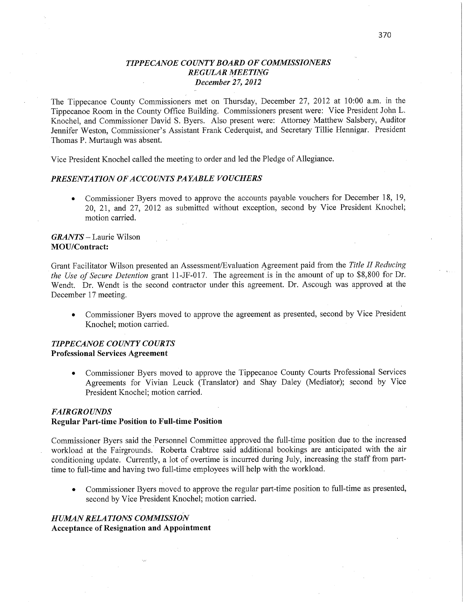# *TIPPECANOE* C0 *UNTY BOARD* OF *COMMISSIONERS REGULAR MEETING* ' *December* 27, *2012*

The Tippecanoe County Commissioners met on Thursday, December 27, 2012 at **10:00 am.** in\_ the Tippecanoe Room in the County Office Building. Commissioners present were: Vice President John L. Knochel, and Commissioner David S. Byers. Also present were: Attorney Matthew Salsbery, Auditor Jennifer Weston, Commissioner's Assistant **Frank** Cederquist, and Secretary Tillie **Hennigar.** President Thomas P. Murtaugh was absent.

Vice President Knochel called the meeting to order and led the Pledge of Allegiance.

#### *PRESENTATION OFACCO UNTS PAYABLE VOUCHERS*

• Commissioner Byers moved to approve the accounts payable vouchers for December 18, 19, 20, 21, and 27, 2012 as submifted without exception, second by Vice President Knochel; motion carried.

## *GRANTS —* Laurie Wilson **MOU/Contract:**

. Grant Facilitator Wilson presented an Assessment/Evaluation Agreement paid **from** the *Title* II *Reducing*  the Use of Secure Detention grant 11-JF-017. The agreement is in the amount of up to \$8,800 for Dr. **Wendt.** Dr. Wendt is the second contractor under this agreement. Dr. Ascough was approved at the December 17 meeting.

*<sup>0</sup>*Commissioner Byers **moved** to approve the agreement as presented, second by **Vice** President Knochel; **motion** carried.

# *TIPPECANOE COUNTY COURTS*  **Professional Services Agreement**

• Commissioner Byers moved to approve the Tippecanoe County Courts Professional Services Agreements for Vivian Leuck (Translator) and Shay Daley (Mediator); second' by **Vice**  President Knochel; motion carried.

# *FAIRGROIJWDS*  **Regular Part-time Position** to **Full-time Position**

Commissioner Byers said the Personnel Committee approved the full-time position due to the increased workload at the Fairgrounds. Roberta Crabtree said additional bookings are anticipated with the air conditioning update. Currently, a lot of overtime is incurred during July, increasing the staff from part**time** to full-time and having two full-time employees Will'help with the workload.

**<sup>0</sup>**Commissioner Byers moved to approve the regular part-time position to full-time as presented, second by Vice President Knochel; motion carried.

# *H UIWAN RELA TIONS COMMISSION*  **Acceptance** of **Resignation** and **Appointment**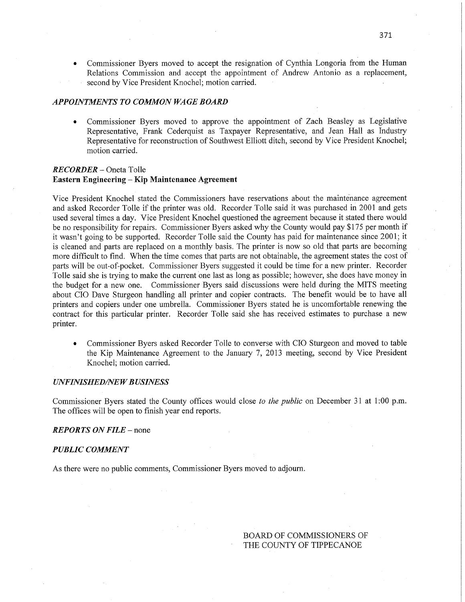Commissioner Byers moved to accept the resignation of Cynthia Longoria from the Human Relations Commission and accept the appointment of Andrew Antonio as a replacement, second by Vice President Knochel; motion carried.

#### *APPOINTMENTS* T0 *COMMON* WA GE *BOARD*

**0** Commissioner Byers moved to approve the appointment of Zach Beasley as Legislative Representative, Frank Cederquist as Taxpayer Representative, and Jean Hall as Industry Representative for reconstruction of Southwest Elliott ditch, second by Vice President Knochel; motion-carried.

# *RECORDER —* Oneta Tolle **Eastern** Engineering *—* Kip **Maintenance Agreement**

**Vice** President Knochel stated the Commissioners have reservations about the mainténance agreemen<sup>t</sup> and asked Recorder Tolle if the printer was old. Recorder Tolle said it was purchased in 2001 and gets used several times a day. **Vice** President Knochel questioned the agreement because it stated there would be no responsibility for repairs. Commissioner Byers asked why the County would pay \$175 per month if it wasn't going to be supported. Recorder Tolle said the County has paid for maintenance since 2001; it is cleaned and parts are replaced on a monthly basis. The printer is now so old that parts are becoming more difficult to find. When the time comes that parts are not obtainable, the agreement states the cost of parts will be out-of-pocket. Commissioner Byers suggested it could be time for a new printer. Recorder Tolle said she is trying to make the current one last as long as possible; however, she does have money in the budget for a new one. Commissioner Byers said discussions were held during the MITS meeting about CIO Dave Sturgeon handling all printer and copier contracts. The benefit would be to have all printers and copiers under one umbrella. Commissioner Byers stated he is uncomfortable renewing the contract for this particular printer. Recorder Tolle said she has received estimates to purchase a new printer.

Commissioner Byers asked Recorder Tolle to converse with CIO Sturgeon and moved to table the Kip Maintenance Agreement to the January 7, 2013 meeting, second by Vice President Knochel; motion carried.

#### *UNFINISHED/NEW BUSINESS*

Commissioner Byers stated the County offices would close to the *public* on December 31 at 1:00 pm. The offices will be open to **finish** year end reports.

#### *REPORTS* ON *FILE —* none

## *PUBLIC COMMENT*

As there were no public comments, Commissioner Byers moved to adjourn.

BOARD OF COMMISSIONERS OF THE COUNTY OF TIPPECANOE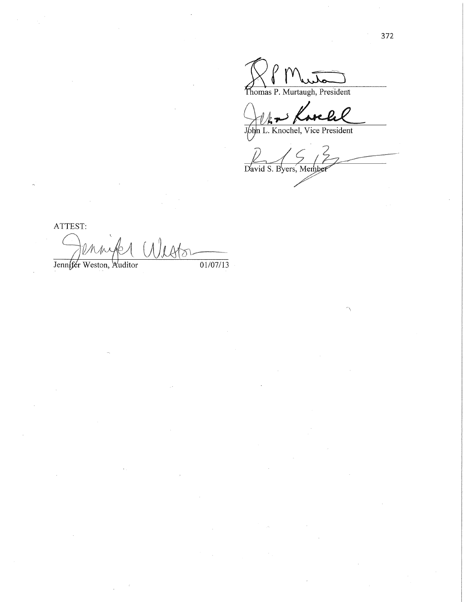$\bigwedge$ Thomas P. Murtaugh, President

John L. Knochel, Vice President

David S. Byers, Member

ATTEST: Unp lestor  $\frac{1}{01/07/13}$ Jenn(fer Weston, *Auditor*